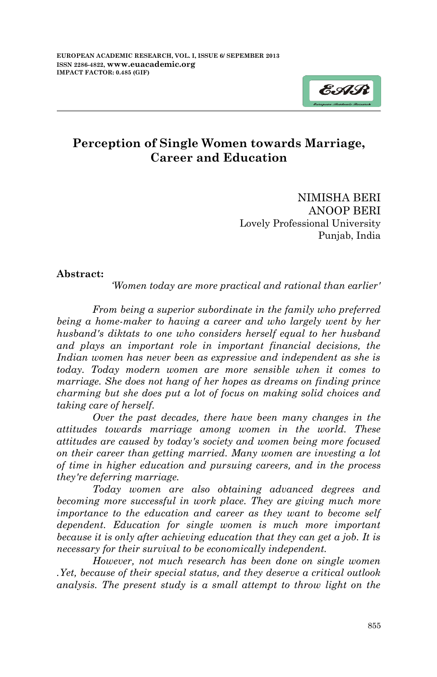

# **Perception of Single Women towards Marriage, Career and Education**

NIMISHA BERI ANOOP BERI Lovely Professional University Punjab, India

#### **Abstract:**

*'Women today are more practical and rational than earlier'*

*From being a superior subordinate in the family who preferred being a home-maker to having a career and who largely went by her husband's diktats to one who considers herself equal to her husband and plays an important role in important financial decisions, the*  Indian women has never been as expressive and independent as she is *today. Today modern women are more sensible when it comes to marriage. She does not hang of her hopes as dreams on finding prince charming but she does put a lot of focus on making solid choices and taking care of herself.*

*Over the past decades, there have been many changes in the attitudes towards marriage among women in the world. These attitudes are caused by today's society and women being more focused on their career than getting married. Many women are investing a lot of time in higher education and pursuing careers, and in the process they're deferring marriage.* 

*Today women are also obtaining advanced degrees and becoming more successful in work place. They are giving much more importance to the education and career as they want to become self dependent. Education for single women is much more important because it is only after achieving education that they can get a job. It is necessary for their survival to be economically independent.*

*However, not much research has been done on single women .Yet, because of their special status, and they deserve a critical outlook analysis. The present study is a small attempt to throw light on the*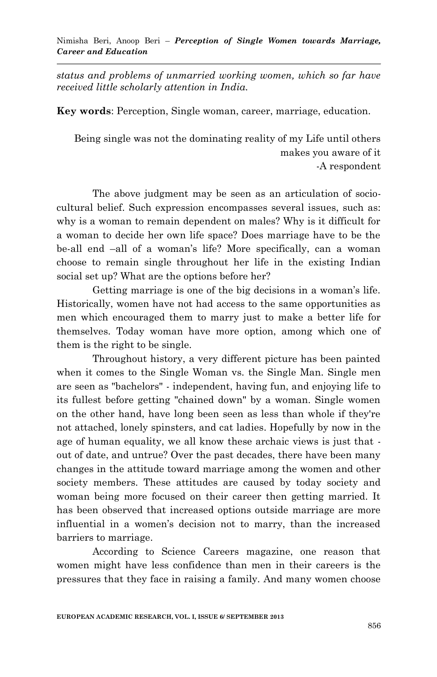*status and problems of unmarried working women, which so far have received little scholarly attention in India.*

**Key words**: Perception, Single woman, career, marriage, education.

Being single was not the dominating reality of my Life until others makes you aware of it -A respondent

The above judgment may be seen as an articulation of sociocultural belief. Such expression encompasses several issues, such as: why is a woman to remain dependent on males? Why is it difficult for a woman to decide her own life space? Does marriage have to be the be-all end –all of a woman"s life? More specifically, can a woman choose to remain single throughout her life in the existing Indian social set up? What are the options before her?

Getting marriage is one of the big decisions in a woman"s life. Historically, women have not had access to the same opportunities as men which encouraged them to marry just to make a better life for themselves. Today woman have more option, among which one of them is the right to be single.

Throughout history, a very different picture has been painted when it comes to the Single Woman vs. the Single Man. Single men are seen as "bachelors" - independent, having fun, and enjoying life to its fullest before getting "chained down" by a woman. Single women on the other hand, have long been seen as less than whole if they're not attached, lonely spinsters, and cat ladies. Hopefully by now in the age of human equality, we all know these archaic views is just that out of date, and untrue? Over the past decades, there have been many changes in the attitude toward marriage among the women and other society members. These attitudes are caused by today society and woman being more focused on their career then getting married. It has been observed that increased options outside marriage are more influential in a women"s decision not to marry, than the increased barriers to marriage.

According to Science Careers magazine, one reason that women might have less confidence than men in their careers is the pressures that they face in raising a family. And many women choose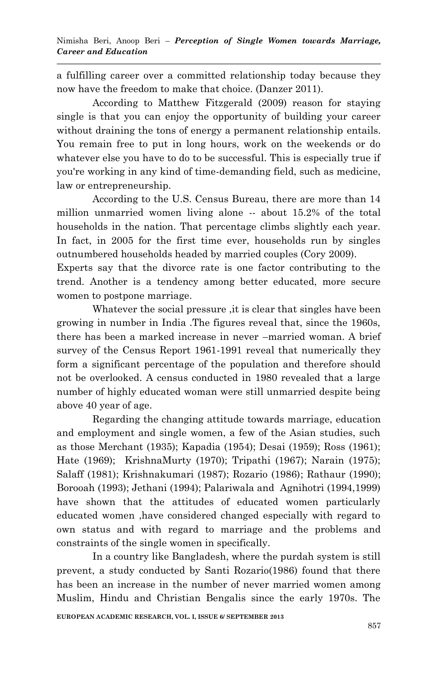a fulfilling career over a committed relationship today because they now have the freedom to make that choice. (Danzer 2011).

According to Matthew Fitzgerald (2009) reason for staying single is that you can enjoy the opportunity of building your career without draining the tons of energy a permanent relationship entails. You remain free to put in long hours, work on the weekends or do whatever else you have to do to be successful. This is especially true if you're working in any kind of time-demanding field, such as medicine, law or entrepreneurship.

According to the U.S. Census Bureau, there are more than 14 million unmarried women living alone -- about 15.2% of the total households in the nation. That percentage climbs slightly each year. In fact, in 2005 for the first time ever, households run by singles outnumbered households headed by married couples (Cory 2009).

Experts say that the divorce rate is one factor contributing to the trend. Another is a tendency among better educated, more secure women to postpone marriage.

Whatever the social pressure ,it is clear that singles have been growing in number in India .The figures reveal that, since the 1960s, there has been a marked increase in never –married woman. A brief survey of the Census Report 1961-1991 reveal that numerically they form a significant percentage of the population and therefore should not be overlooked. A census conducted in 1980 revealed that a large number of highly educated woman were still unmarried despite being above 40 year of age.

Regarding the changing attitude towards marriage, education and employment and single women, a few of the Asian studies, such as those Merchant (1935); Kapadia (1954); Desai (1959); Ross (1961); Hate (1969); KrishnaMurty (1970); Tripathi (1967); Narain (1975); Salaff (1981); Krishnakumari (1987); Rozario (1986); Rathaur (1990); Borooah (1993); Jethani (1994); Palariwala and Agnihotri (1994,1999) have shown that the attitudes of educated women particularly educated women ,have considered changed especially with regard to own status and with regard to marriage and the problems and constraints of the single women in specifically.

In a country like Bangladesh, where the purdah system is still prevent, a study conducted by Santi Rozario(1986) found that there has been an increase in the number of never married women among Muslim, Hindu and Christian Bengalis since the early 1970s. The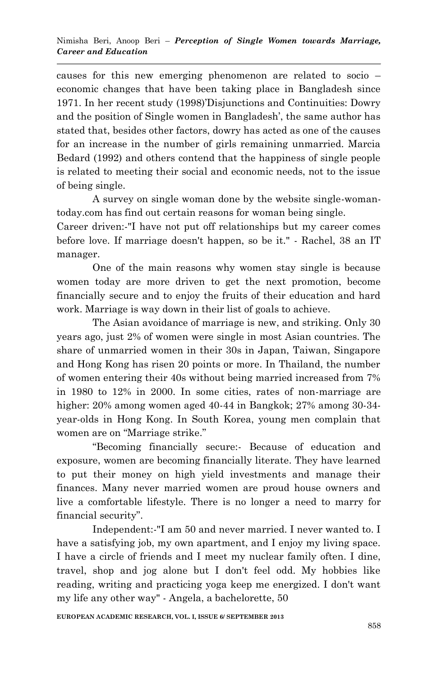causes for this new emerging phenomenon are related to socio – economic changes that have been taking place in Bangladesh since 1971. In her recent study (1998)"Disjunctions and Continuities: Dowry and the position of Single women in Bangladesh", the same author has stated that, besides other factors, dowry has acted as one of the causes for an increase in the number of girls remaining unmarried. Marcia Bedard (1992) and others contend that the happiness of single people is related to meeting their social and economic needs, not to the issue of being single.

A survey on single woman done by the website single-womantoday.com has find out certain reasons for woman being single.

Career driven:-"I have not put off relationships but my career comes before love. If marriage doesn't happen, so be it." - Rachel, 38 an IT manager.

One of the main reasons why women stay single is because women today are more driven to get the next promotion, become financially secure and to enjoy the fruits of their education and hard work. Marriage is way down in their list of goals to achieve.

The Asian avoidance of marriage is new, and striking. Only 30 years ago, just 2% of women were single in most Asian countries. The share of unmarried women in their 30s in Japan, Taiwan, Singapore and Hong Kong has risen 20 points or more. In Thailand, the number of women entering their 40s without being married increased from 7% in 1980 to 12% in 2000. In some cities, rates of non-marriage are higher: 20% among women aged 40-44 in Bangkok; 27% among 30-34 year-olds in Hong Kong. In South Korea, young men complain that women are on "Marriage strike."

"Becoming financially secure:- Because of education and exposure, women are becoming financially literate. They have learned to put their money on high yield investments and manage their finances. Many never married women are proud house owners and live a comfortable lifestyle. There is no longer a need to marry for financial security".

Independent:-"I am 50 and never married. I never wanted to. I have a satisfying job, my own apartment, and I enjoy my living space. I have a circle of friends and I meet my nuclear family often. I dine, travel, shop and jog alone but I don't feel odd. My hobbies like reading, writing and practicing yoga keep me energized. I don't want my life any other way" - Angela, a bachelorette, 50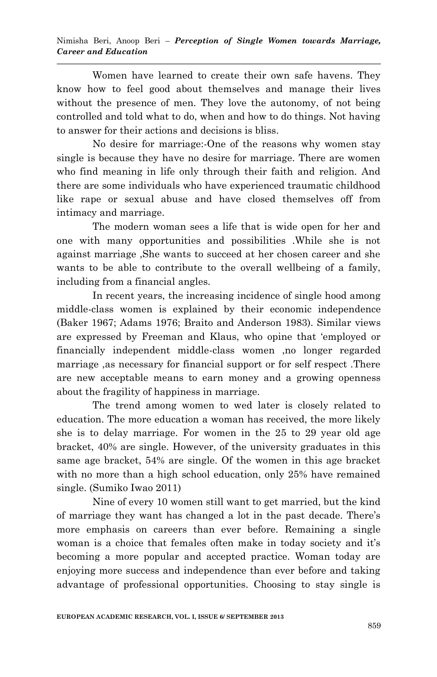Women have learned to create their own safe havens. They know how to feel good about themselves and manage their lives without the presence of men. They love the autonomy, of not being controlled and told what to do, when and how to do things. Not having to answer for their actions and decisions is bliss.

No desire for marriage:-One of the reasons why women stay single is because they have no desire for marriage. There are women who find meaning in life only through their faith and religion. And there are some individuals who have experienced traumatic childhood like rape or sexual abuse and have closed themselves off from intimacy and marriage.

The modern woman sees a life that is wide open for her and one with many opportunities and possibilities .While she is not against marriage ,She wants to succeed at her chosen career and she wants to be able to contribute to the overall wellbeing of a family, including from a financial angles.

In recent years, the increasing incidence of single hood among middle-class women is explained by their economic independence (Baker 1967; Adams 1976; Braito and Anderson 1983). Similar views are expressed by Freeman and Klaus, who opine that "employed or financially independent middle-class women ,no longer regarded marriage ,as necessary for financial support or for self respect .There are new acceptable means to earn money and a growing openness about the fragility of happiness in marriage.

The trend among women to wed later is closely related to education. The more education a woman has received, the more likely she is to delay marriage. For women in the 25 to 29 year old age bracket, 40% are single. However, of the university graduates in this same age bracket, 54% are single. Of the women in this age bracket with no more than a high school education, only 25% have remained single. (Sumiko Iwao 2011)

Nine of every 10 women still want to get married, but the kind of marriage they want has changed a lot in the past decade. There"s more emphasis on careers than ever before. Remaining a single woman is a choice that females often make in today society and it's becoming a more popular and accepted practice. Woman today are enjoying more success and independence than ever before and taking advantage of professional opportunities. Choosing to stay single is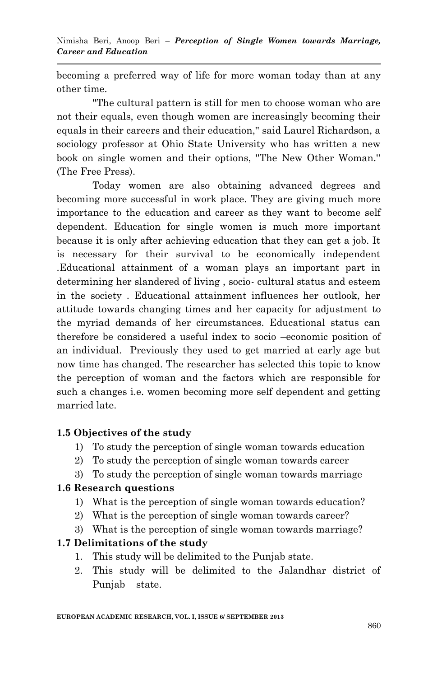becoming a preferred way of life for more woman today than at any other time.

''The cultural pattern is still for men to choose woman who are not their equals, even though women are increasingly becoming their equals in their careers and their education,'' said Laurel Richardson, a sociology professor at Ohio State University who has written a new book on single women and their options, ''The New Other Woman.'' (The Free Press).

Today women are also obtaining advanced degrees and becoming more successful in work place. They are giving much more importance to the education and career as they want to become self dependent. Education for single women is much more important because it is only after achieving education that they can get a job. It is necessary for their survival to be economically independent .Educational attainment of a woman plays an important part in determining her slandered of living , socio- cultural status and esteem in the society . Educational attainment influences her outlook, her attitude towards changing times and her capacity for adjustment to the myriad demands of her circumstances. Educational status can therefore be considered a useful index to socio –economic position of an individual. Previously they used to get married at early age but now time has changed. The researcher has selected this topic to know the perception of woman and the factors which are responsible for such a changes i.e. women becoming more self dependent and getting married late.

# **1.5 Objectives of the study**

- 1) To study the perception of single woman towards education
- 2) To study the perception of single woman towards career
- 3) To study the perception of single woman towards marriage

#### **1.6 Research questions**

- 1) What is the perception of single woman towards education?
- 2) What is the perception of single woman towards career?
- 3) What is the perception of single woman towards marriage?

# **1.7 Delimitations of the study**

- 1. This study will be delimited to the Punjab state.
- 2. This study will be delimited to the Jalandhar district of Punjab state.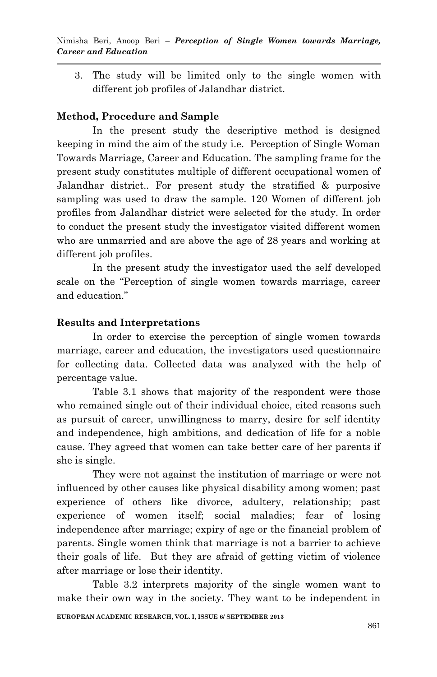3. The study will be limited only to the single women with different job profiles of Jalandhar district.

# **Method, Procedure and Sample**

In the present study the descriptive method is designed keeping in mind the aim of the study i.e. Perception of Single Woman Towards Marriage, Career and Education. The sampling frame for the present study constitutes multiple of different occupational women of Jalandhar district.. For present study the stratified & purposive sampling was used to draw the sample. 120 Women of different job profiles from Jalandhar district were selected for the study. In order to conduct the present study the investigator visited different women who are unmarried and are above the age of 28 years and working at different job profiles.

In the present study the investigator used the self developed scale on the "Perception of single women towards marriage, career and education."

# **Results and Interpretations**

In order to exercise the perception of single women towards marriage, career and education, the investigators used questionnaire for collecting data. Collected data was analyzed with the help of percentage value.

Table 3.1 shows that majority of the respondent were those who remained single out of their individual choice, cited reasons such as pursuit of career, unwillingness to marry, desire for self identity and independence, high ambitions, and dedication of life for a noble cause. They agreed that women can take better care of her parents if she is single.

They were not against the institution of marriage or were not influenced by other causes like physical disability among women; past experience of others like divorce, adultery, relationship; past experience of women itself; social maladies; fear of losing independence after marriage; expiry of age or the financial problem of parents. Single women think that marriage is not a barrier to achieve their goals of life. But they are afraid of getting victim of violence after marriage or lose their identity.

**EUROPEAN ACADEMIC RESEARCH, VOL. I, ISSUE 6/ SEPTEMBER 2013** Table 3.2 interprets majority of the single women want to make their own way in the society. They want to be independent in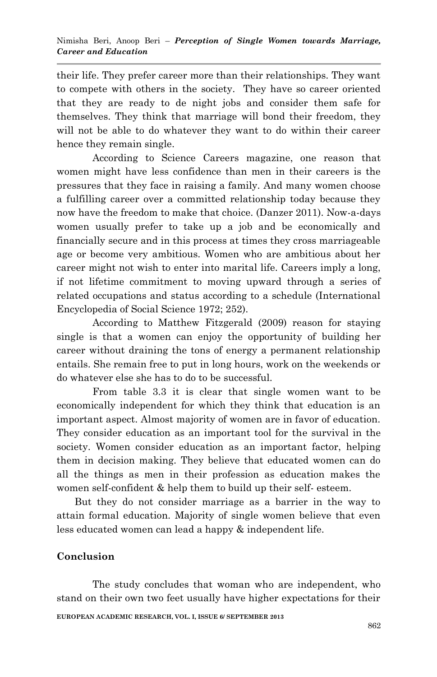their life. They prefer career more than their relationships. They want to compete with others in the society. They have so career oriented that they are ready to de night jobs and consider them safe for themselves. They think that marriage will bond their freedom, they will not be able to do whatever they want to do within their career hence they remain single.

According to Science Careers magazine, one reason that women might have less confidence than men in their careers is the pressures that they face in raising a family. And many women choose a fulfilling career over a committed relationship today because they now have the freedom to make that choice. (Danzer 2011). Now-a-days women usually prefer to take up a job and be economically and financially secure and in this process at times they cross marriageable age or become very ambitious. Women who are ambitious about her career might not wish to enter into marital life. Careers imply a long, if not lifetime commitment to moving upward through a series of related occupations and status according to a schedule (International Encyclopedia of Social Science 1972; 252).

According to Matthew Fitzgerald (2009) reason for staying single is that a women can enjoy the opportunity of building her career without draining the tons of energy a permanent relationship entails. She remain free to put in long hours, work on the weekends or do whatever else she has to do to be successful.

From table 3.3 it is clear that single women want to be economically independent for which they think that education is an important aspect. Almost majority of women are in favor of education. They consider education as an important tool for the survival in the society. Women consider education as an important factor, helping them in decision making. They believe that educated women can do all the things as men in their profession as education makes the women self-confident & help them to build up their self- esteem.

But they do not consider marriage as a barrier in the way to attain formal education. Majority of single women believe that even less educated women can lead a happy & independent life.

#### **Conclusion**

**EUROPEAN ACADEMIC RESEARCH, VOL. I, ISSUE 6/ SEPTEMBER 2013** The study concludes that woman who are independent, who stand on their own two feet usually have higher expectations for their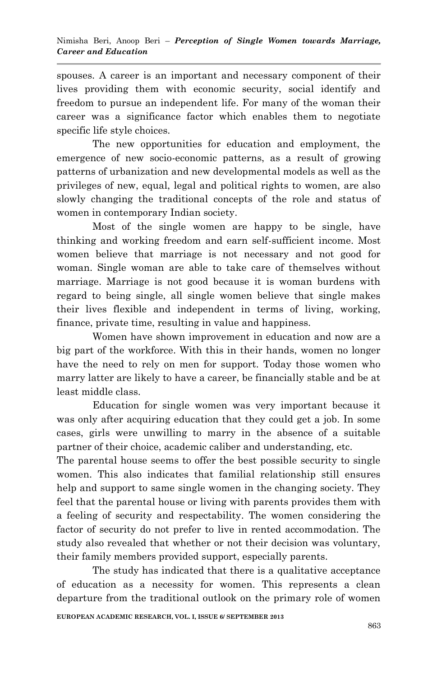spouses. A career is an important and necessary component of their lives providing them with economic security, social identify and freedom to pursue an independent life. For many of the woman their career was a significance factor which enables them to negotiate specific life style choices.

The new opportunities for education and employment, the emergence of new socio-economic patterns, as a result of growing patterns of urbanization and new developmental models as well as the privileges of new, equal, legal and political rights to women, are also slowly changing the traditional concepts of the role and status of women in contemporary Indian society.

Most of the single women are happy to be single, have thinking and working freedom and earn self-sufficient income. Most women believe that marriage is not necessary and not good for woman. Single woman are able to take care of themselves without marriage. Marriage is not good because it is woman burdens with regard to being single, all single women believe that single makes their lives flexible and independent in terms of living, working, finance, private time, resulting in value and happiness.

Women have shown improvement in education and now are a big part of the workforce. With this in their hands, women no longer have the need to rely on men for support. Today those women who marry latter are likely to have a career, be financially stable and be at least middle class.

Education for single women was very important because it was only after acquiring education that they could get a job. In some cases, girls were unwilling to marry in the absence of a suitable partner of their choice, academic caliber and understanding, etc.

The parental house seems to offer the best possible security to single women. This also indicates that familial relationship still ensures help and support to same single women in the changing society. They feel that the parental house or living with parents provides them with a feeling of security and respectability. The women considering the factor of security do not prefer to live in rented accommodation. The study also revealed that whether or not their decision was voluntary, their family members provided support, especially parents.

The study has indicated that there is a qualitative acceptance of education as a necessity for women. This represents a clean departure from the traditional outlook on the primary role of women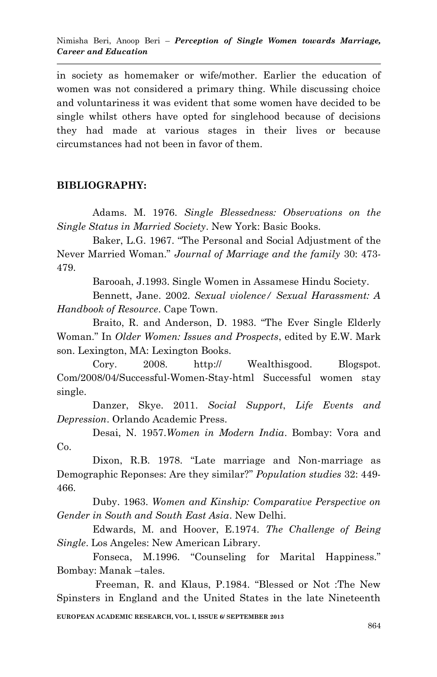in society as homemaker or wife/mother. Earlier the education of women was not considered a primary thing. While discussing choice and voluntariness it was evident that some women have decided to be single whilst others have opted for singlehood because of decisions they had made at various stages in their lives or because circumstances had not been in favor of them.

### **BIBLIOGRAPHY:**

Adams. M. 1976. *Single Blessedness: Observations on the Single Status in Married Society*. New York: Basic Books.

Baker, L.G. 1967. "The Personal and Social Adjustment of the Never Married Woman." *Journal of Marriage and the family* 30: 473- 479.

Barooah, J.1993. Single Women in Assamese Hindu Society.

Bennett, Jane. 2002. *Sexual violence/ Sexual Harassment: A Handbook of Resource*. Cape Town.

Braito, R. and Anderson, D. 1983. "The Ever Single Elderly Woman." In *Older Women: Issues and Prospects*, edited by E.W. Mark son. Lexington, MA: Lexington Books.

Cory. 2008. http:// Wealthisgood. Blogspot. Com/2008/04/Successful-Women-Stay-html Successful women stay single.

Danzer, Skye. 2011. *Social Support*, *Life Events and Depression*. Orlando Academic Press.

Desai, N. 1957.*Women in Modern India*. Bombay: Vora and Co.

Dixon, R.B. 1978. "Late marriage and Non-marriage as Demographic Reponses: Are they similar?" *Population studies* 32: 449- 466.

Duby. 1963. *Women and Kinship: Comparative Perspective on Gender in South and South East Asia*. New Delhi.

Edwards, M. and Hoover, E.1974. *The Challenge of Being Single*. Los Angeles: New American Library.

Fonseca, M.1996. "Counseling for Marital Happiness." Bombay: Manak –tales.

**EUROPEAN ACADEMIC RESEARCH, VOL. I, ISSUE 6/ SEPTEMBER 2013** Freeman, R. and Klaus, P.1984. "Blessed or Not :The New Spinsters in England and the United States in the late Nineteenth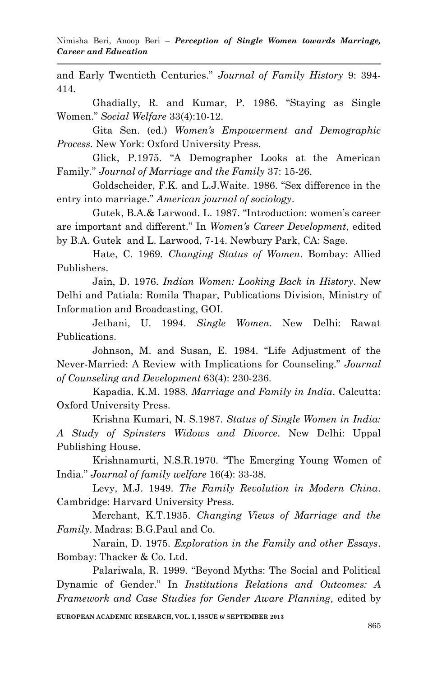and Early Twentieth Centuries." *Journal of Family History* 9: 394- 414.

Ghadially, R. and Kumar, P. 1986. "Staying as Single Women." *Social Welfare* 33(4):10-12.

Gita Sen. (ed.) *Women's Empowerment and Demographic Process.* New York: Oxford University Press.

Glick, P.1975. "A Demographer Looks at the American Family." *Journal of Marriage and the Family* 37: 15-26.

Goldscheider, F.K. and L.J.Waite. 1986. "Sex difference in the entry into marriage." *American journal of sociology*.

Gutek, B.A.& Larwood. L. 1987. "Introduction: women"s career are important and different." In *Women's Career Development*, edited by B.A. Gutek and L. Larwood, 7-14. Newbury Park, CA: Sage.

Hate, C. 1969. *Changing Status of Women*. Bombay: Allied Publishers.

Jain, D. 1976. *Indian Women: Looking Back in History*. New Delhi and Patiala: Romila Thapar, Publications Division, Ministry of Information and Broadcasting, GOI.

Jethani, U. 1994. *Single Women*. New Delhi: Rawat Publications.

Johnson, M. and Susan, E. 1984. "Life Adjustment of the Never-Married: A Review with Implications for Counseling." *Journal of Counseling and Development* 63(4): 230-236.

Kapadia, K.M. 1988*. Marriage and Family in India*. Calcutta: Oxford University Press.

Krishna Kumari, N. S.1987. *Status of Single Women in India: A Study of Spinsters Widows and Divorce.* New Delhi: Uppal Publishing House.

Krishnamurti, N.S.R.1970. "The Emerging Young Women of India." *Journal of family welfare* 16(4): 33-38.

Levy, M.J. 1949. *The Family Revolution in Modern China*. Cambridge: Harvard University Press.

Merchant, K.T.1935. *Changing Views of Marriage and the Family*. Madras: B.G.Paul and Co.

Narain, D. 1975. *Exploration in the Family and other Essays*. Bombay: Thacker & Co. Ltd.

Palariwala, R. 1999. "Beyond Myths: The Social and Political Dynamic of Gender." In *Institutions Relations and Outcomes: A Framework and Case Studies for Gender Aware Planning,* edited by

**EUROPEAN ACADEMIC RESEARCH, VOL. I, ISSUE 6/ SEPTEMBER 2013**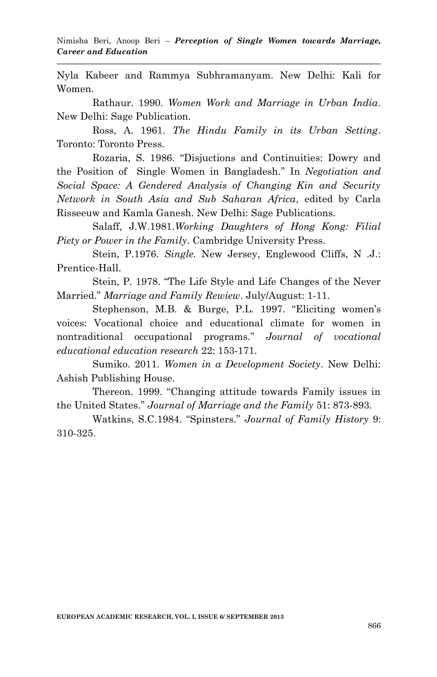Nyla Kabeer and Rammya Subhramanyam. New Delhi: Kali for Women.

Rathaur. 1990. *Women Work and Marriage in Urban India*. New Delhi: Sage Publication.

Ross, A. 1961. *The Hindu Family in its Urban Setting*. Toronto: Toronto Press.

Rozaria, S. 1986. "Disjuctions and Continuities: Dowry and the Position of Single Women in Bangladesh." In *Negotiation and Social Space: A Gendered Analysis of Changing Kin and Security Network in South Asia and Sub Saharan Africa,* edited by Carla Risseeuw and Kamla Ganesh. New Delhi: Sage Publications.

Salaff, J.W.1981.*Working Daughters of Hong Kong: Filial Piety or Power in the Family*. Cambridge University Press.

Stein, P.1976. *Single.* New Jersey, Englewood Cliffs, N .J.: Prentice-Hall.

Stein, P. 1978. "The Life Style and Life Changes of the Never Married." *Marriage and Family Rewiew*. July/August: 1-11.

Stephenson, M.B. & Burge, P.L. 1997. "Eliciting women's voices: Vocational choice and educational climate for women in nontraditional occupational programs." *Journal of vocational educational education research* 22: 153-171.

Sumiko. 2011. *Women in a Development Society*. New Delhi: Ashish Publishing House.

Thereon. 1999. "Changing attitude towards Family issues in the United States." *Journal of Marriage and the Family* 51: 873-893.

Watkins, S.C.1984. "Spinsters." *Journal of Family History* 9: 310-325.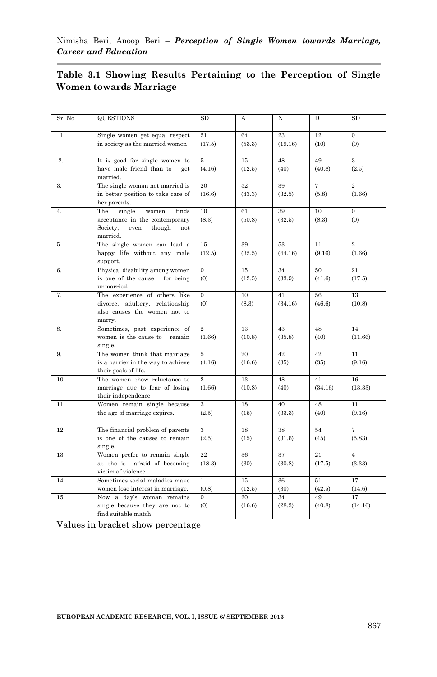|                        |  |  |  |  |  |  | Table 3.1 Showing Results Pertaining to the Perception of Single |  |  |
|------------------------|--|--|--|--|--|--|------------------------------------------------------------------|--|--|
| Women towards Marriage |  |  |  |  |  |  |                                                                  |  |  |

| Sr. No | <b>QUESTIONS</b>                                                                                                   | <b>SD</b>                | А            | N             | D             | <b>SD</b>                        |
|--------|--------------------------------------------------------------------------------------------------------------------|--------------------------|--------------|---------------|---------------|----------------------------------|
| 1.     | Single women get equal respect<br>in society as the married women                                                  | 21<br>(17.5)             | 64<br>(53.3) | 23<br>(19.16) | 12<br>(10)    | $\Omega$<br>(0)                  |
| 2.     | It is good for single women to<br>have male friend than to<br>get<br>married.                                      | 5<br>(4.16)              | 15<br>(12.5) | 48<br>(40)    | 49<br>(40.8)  | $\overline{\mathbf{3}}$<br>(2.5) |
| 3.     | The single woman not married is<br>in better position to take care of<br>her parents.                              | 20<br>(16.6)             | 52<br>(43.3) | 39<br>(32.5)  | 7<br>(5.8)    | $\overline{2}$<br>(1.66)         |
| 4.     | The<br>single<br>women<br>finds<br>acceptance in the contemporary<br>Society,<br>even<br>though<br>not<br>married. | 10<br>(8.3)              | 61<br>(50.8) | 39<br>(32.5)  | 10<br>(8.3)   | $\overline{0}$<br>(0)            |
| 5      | The single women can lead a<br>happy life without any male<br>support.                                             | 15<br>(12.5)             | 39<br>(32.5) | 53<br>(44.16) | 11<br>(9.16)  | $\overline{2}$<br>(1.66)         |
| 6.     | Physical disability among women<br>is one of the cause<br>for being<br>unmarried.                                  | $\theta$<br>(0)          | 15<br>(12.5) | 34<br>(33.9)  | 50<br>(41.6)  | 21<br>(17.5)                     |
| 7.     | The experience of others like<br>divorce, adultery, relationship<br>also causes the women not to<br>marry.         | $\Omega$<br>(0)          | 10<br>(8.3)  | 41<br>(34.16) | 56<br>(46.6)  | 13<br>(10.8)                     |
| 8.     | Sometimes, past experience of<br>women is the cause to remain<br>single.                                           | $\overline{2}$<br>(1.66) | 13<br>(10.8) | 43<br>(35.8)  | 48<br>(40)    | 14<br>(11.66)                    |
| 9.     | The women think that marriage<br>is a barrier in the way to achieve<br>their goals of life.                        | 5<br>(4.16)              | 20<br>(16.6) | 42<br>(35)    | 42<br>(35)    | 11<br>(9.16)                     |
| 10     | The women show reluctance to<br>marriage due to fear of losing<br>their independence                               | $\overline{2}$<br>(1.66) | 13<br>(10.8) | 48<br>(40)    | 41<br>(34.16) | 16<br>(13.33)                    |
| 11     | Women remain single because<br>the age of marriage expires.                                                        | 3<br>(2.5)               | 18<br>(15)   | 40<br>(33.3)  | 48<br>(40)    | 11<br>(9.16)                     |
| 12     | The financial problem of parents<br>is one of the causes to remain<br>single.                                      | 3<br>(2.5)               | 18<br>(15)   | 38<br>(31.6)  | 54<br>(45)    | 7<br>(5.83)                      |
| 13     | Women prefer to remain single<br>as she is afraid of becoming<br>victim of violence                                | 22<br>(18.3)             | 36<br>(30)   | 37<br>(30.8)  | 21<br>(17.5)  | $\overline{4}$<br>(3.33)         |
| 14     | Sometimes social maladies make<br>women lose interest in marriage.                                                 | $\mathbf{1}$<br>(0.8)    | 15<br>(12.5) | 36<br>(30)    | 51<br>(42.5)  | 17<br>(14.6)                     |
| 15     | Now a day's woman remains<br>single because they are not to<br>find suitable match.                                | $\Omega$<br>(0)          | 20<br>(16.6) | 34<br>(28.3)  | 49<br>(40.8)  | 17<br>(14.16)                    |

Values in bracket show percentage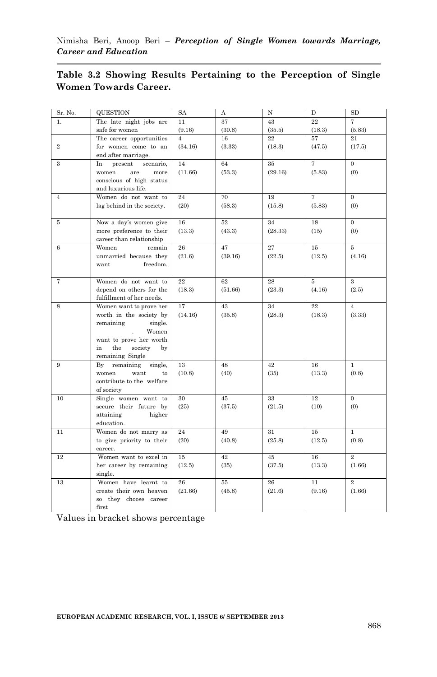| Sr. No.        | <b>QUESTION</b>             | <b>SA</b>      | A       | N       | D              | SD             |
|----------------|-----------------------------|----------------|---------|---------|----------------|----------------|
| 1.             | The late night jobs are     | 11             | 37      | 43      | 22             | $\overline{7}$ |
|                | safe for women              | (9.16)         | (30.8)  | (35.5)  | (18.3)         | (5.83)         |
|                | The career opportunities    | $\overline{A}$ | 16      | 22      | 57             | 21             |
| $\overline{2}$ | for women come to an        | (34.16)        | (3.33)  | (18.3)  | (47.5)         | (17.5)         |
|                | end after marriage.         |                |         |         |                |                |
| 3              | In<br>present<br>scenario,  | 14             | 64      | 35      | 7              | $\overline{0}$ |
|                | women<br>are<br>more        | (11.66)        | (53.3)  | (29.16) | (5.83)         | (0)            |
|                | conscious of high status    |                |         |         |                |                |
|                | and luxurious life.         |                |         |         |                |                |
| $\overline{4}$ | Women do not want to        | 24             | 70      | 19      | $\overline{7}$ | $\overline{0}$ |
|                | lag behind in the society.  | (20)           | (58.3)  | (15.8)  | (5.83)         | (0)            |
|                |                             |                |         |         |                |                |
| 5              | Now a day's women give      | 16             | 52      | 34      | 18             | $\overline{0}$ |
|                | more preference to their    | (13.3)         | (43.3)  | (28.33) | (15)           | (0)            |
|                | career than relationship    |                |         |         |                |                |
| 6              | Women<br>remain             | 26             | 47      | 27      | 15             | 5              |
|                | unmarried because they      | (21.6)         | (39.16) | (22.5)  | (12.5)         | (4.16)         |
|                | freedom.<br>want            |                |         |         |                |                |
|                |                             |                |         |         |                |                |
| 7              | Women do not want to        | 22             | 62      | 28      | 5              | 3              |
|                | depend on others for the    | (18.3)         | (51.66) | (23.3)  | (4.16)         | (2.5)          |
|                | fulfillment of her needs.   |                |         |         |                |                |
| 8              | Women want to prove her     | 17             | 43      | 34      | 22             | $\overline{4}$ |
|                | worth in the society by     | (14.16)        | (35.8)  | (28.3)  | (18.3)         | (3.33)         |
|                | remaining<br>single.        |                |         |         |                |                |
|                | Women                       |                |         |         |                |                |
|                | want to prove her worth     |                |         |         |                |                |
|                | the<br>in.<br>society<br>bv |                |         |         |                |                |
|                | remaining Single            |                |         |         |                |                |
| 9              | By<br>remaining<br>single,  | 13             | 48      | 42      | 16             | $\mathbf{1}$   |
|                | women<br>want<br>to         | (10.8)         | (40)    | (35)    | (13.3)         | (0.8)          |
|                | contribute to the welfare   |                |         |         |                |                |
|                | of society                  |                |         |         |                |                |
| 10             | Single women want to        | 30             | 45      | 33      | 12             | $\overline{0}$ |
|                | secure their future by      | (25)           | (37.5)  | (21.5)  | (10)           | (0)            |
|                | attaining<br>higher         |                |         |         |                |                |
|                | education.                  |                |         |         |                |                |
| 11             | Women do not marry as       | 24             | 49      | 31      | 15             | $\mathbf{1}$   |
|                | to give priority to their   | (20)           | (40.8)  | (25.8)  | (12.5)         | (0.8)          |
|                | career.                     |                |         |         |                |                |
| 12             | Women want to excel in      | 15             | 42      | 45      | 16             | $\overline{2}$ |
|                | her career by remaining     | (12.5)         | (35)    | (37.5)  | (13.3)         | (1.66)         |
|                | single.                     |                |         |         |                |                |
| 13             | Women have learnt to        | 26             | 55      | 26      | 11             | $\overline{2}$ |
|                | create their own heaven     | (21.66)        | (45.8)  | (21.6)  | (9.16)         | (1.66)         |
|                | so they choose career       |                |         |         |                |                |
|                | first                       |                |         |         |                |                |

#### **Table 3.2 Showing Results Pertaining to the Perception of Single Women Towards Career.**

Values in bracket shows percentage